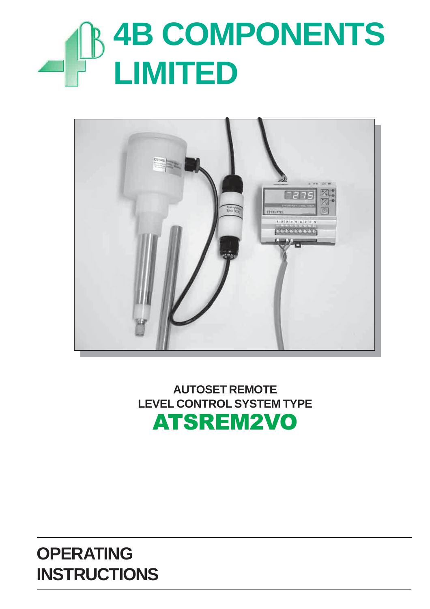# **4B COMPONENTS LIMITED**



**AUTOSET REMOTE LEVEL CONTROL SYSTEM TYPE** ATSREM2VO

# **OPERATING INSTRUCTIONS**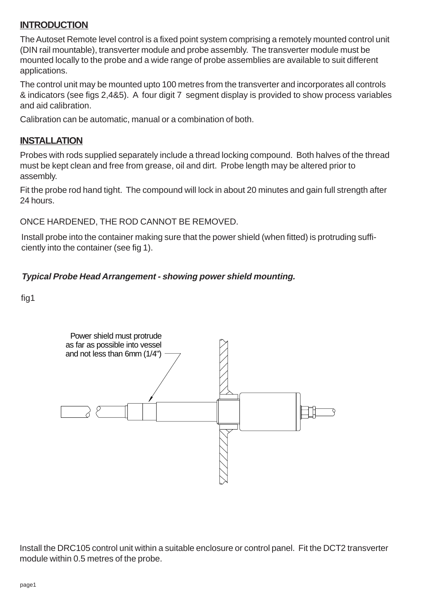#### **INTRODUCTION**

The Autoset Remote level control is a fixed point system comprising a remotely mounted control unit (DIN rail mountable), transverter module and probe assembly. The transverter module must be mounted locally to the probe and a wide range of probe assemblies are available to suit different applications.

The control unit may be mounted upto 100 metres from the transverter and incorporates all controls & indicators (see figs 2,4&5). A four digit 7 segment display is provided to show process variables and aid calibration.

Calibration can be automatic, manual or a combination of both.

#### **INSTALLATION**

Probes with rods supplied separately include a thread locking compound. Both halves of the thread must be kept clean and free from grease, oil and dirt. Probe length may be altered prior to assembly.

Fit the probe rod hand tight. The compound will lock in about 20 minutes and gain full strength after 24 hours.

ONCE HARDENED, THE ROD CANNOT BE REMOVED.

Install probe into the container making sure that the power shield (when fitted) is protruding sufficiently into the container (see fig 1).

#### **Typical Probe Head Arrangement - showing power shield mounting.**

fig1



Install the DRC105 control unit within a suitable enclosure or control panel. Fit the DCT2 transverter module within 0.5 metres of the probe.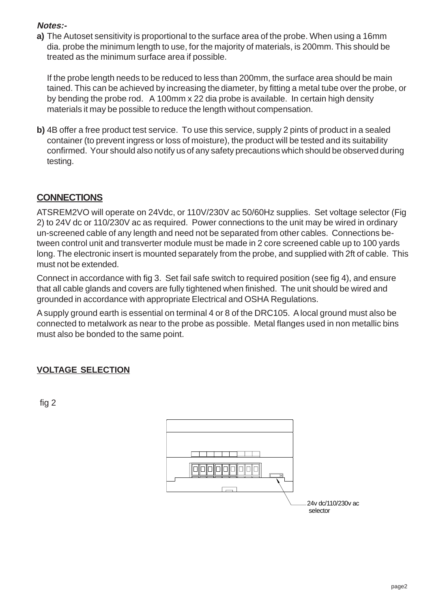#### **Notes:-**

**a)** The Autoset sensitivity is proportional to the surface area of the probe. When using a 16mm dia. probe the minimum length to use, for the majority of materials, is 200mm. This should be treated as the minimum surface area if possible.

If the probe length needs to be reduced to less than 200mm, the surface area should be main tained. This can be achieved by increasing the diameter, by fitting a metal tube over the probe, or by bending the probe rod. A 100mm x 22 dia probe is available. In certain high density materials it may be possible to reduce the length without compensation.

**b)** 4B offer a free product test service. To use this service, supply 2 pints of product in a sealed container (to prevent ingress or loss of moisture), the product will be tested and its suitability confirmed. Your should also notify us of any safety precautions which should be observed during testing.

#### **CONNECTIONS**

ATSREM2VO will operate on 24Vdc, or 110V/230V ac 50/60Hz supplies. Set voltage selector (Fig 2) to 24V dc or 110/230V ac as required. Power connections to the unit may be wired in ordinary un-screened cable of any length and need not be separated from other cables. Connections between control unit and transverter module must be made in 2 core screened cable up to 100 yards long. The electronic insert is mounted separately from the probe, and supplied with 2ft of cable. This must not be extended.

Connect in accordance with fig 3. Set fail safe switch to required position (see fig 4), and ensure that all cable glands and covers are fully tightened when finished. The unit should be wired and grounded in accordance with appropriate Electrical and OSHA Regulations.

A supply ground earth is essential on terminal 4 or 8 of the DRC105. A local ground must also be connected to metalwork as near to the probe as possible. Metal flanges used in non metallic bins must also be bonded to the same point.

#### **VOLTAGE SELECTION**

fig 2

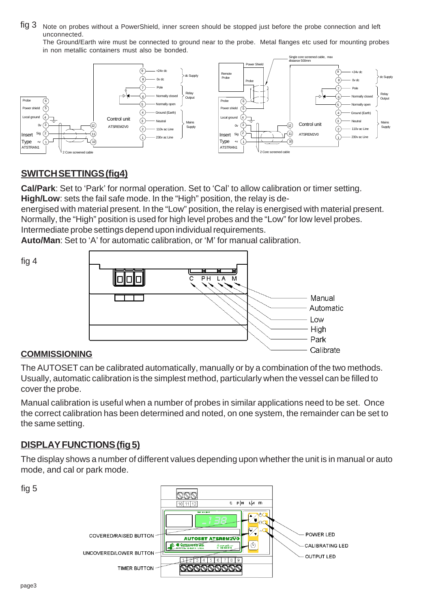fig 3 Note on probes without a PowerShield, inner screen should be stopped just before the probe connection and left unconnected.

The Ground/Earth wire must be connected to ground near to the probe. Metal flanges etc used for mounting probes in non metallic containers must also be bonded.



# **SWITCH SETTINGS (fig4)**

**Cal/Park**: Set to 'Park' for normal operation. Set to 'Cal' to allow calibration or timer setting. **High/Low**: sets the fail safe mode. In the "High" position, the relay is de-

energised with material present. In the "Low" position, the relay is energised with material present.

Normally, the "High" position is used for high level probes and the "Low" for low level probes. Intermediate probe settings depend upon individual requirements.

**Auto/Man**: Set to 'A' for automatic calibration, or 'M' for manual calibration.

fig 4



#### **COMMISSIONING**

The AUTOSET can be calibrated automatically, manually or by a combination of the two methods. Usually, automatic calibration is the simplest method, particularly when the vessel can be filled to cover the probe.

Manual calibration is useful when a number of probes in similar applications need to be set. Once the correct calibration has been determined and noted, on one system, the remainder can be set to the same setting.

## **DISPLAY FUNCTIONS (fig 5)**

The display shows a number of different values depending upon whether the unit is in manual or auto mode, and cal or park mode.



fig 5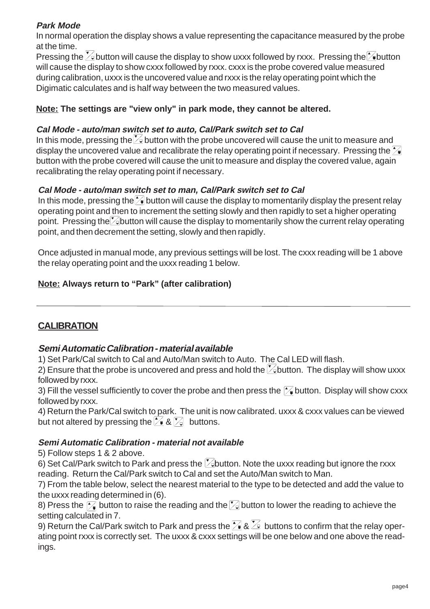#### **Park Mode**

In normal operation the display shows a value representing the capacitance measured by the probe at the time.

Pressing the  $\vee$  button will cause the display to show uxxx followed by rxxx. Pressing the button will cause the display to show cxxx followed by rxxx. cxxx is the probe covered value measured during calibration, uxxx is the uncovered value and rxxx is the relay operating point which the Digimatic calculates and is half way between the two measured values.

#### **Note: The settings are "view only" in park mode, they cannot be altered.**

#### **Cal Mode - auto/man switch set to auto, Cal/Park switch set to Cal**

In this mode, pressing the  $\geq$  button with the probe uncovered will cause the unit to measure and display the uncovered value and recalibrate the relay operating point if necessary. Pressing the  $\geq$ button with the probe covered will cause the unit to measure and display the covered value, again recalibrating the relay operating point if necessary.

#### **Cal Mode - auto/man switch set to man, Cal/Park switch set to Cal**

In this mode, pressing the  $\sim$  button will cause the display to momentarily display the present relay operating point and then to increment the setting slowly and then rapidly to set a higher operating point. Pressing the *button will cause the display to momentarily show the current relay operating* point, and then decrement the setting, slowly and then rapidly.

Once adjusted in manual mode, any previous settings will be lost. The cxxx reading will be 1 above the relay operating point and the uxxx reading 1 below.

#### **Note: Always return to "Park" (after calibration)**

#### **CALIBRATION**

#### **Semi Automatic Calibration - material available**

1) Set Park/Cal switch to Cal and Auto/Man switch to Auto. The Cal LED will flash.

2) Ensure that the probe is uncovered and press and hold the  $\mathbb{Z}_2$  button. The display will show uxxx followed by rxxx.

3) Fill the vessel sufficiently to cover the probe and then press the  $\mathcal{F}_0$  button. Display will show cxxx followed by rxxx.

4) Return the Park/Cal switch to park. The unit is now calibrated. uxxx & cxxx values can be viewed but not altered by pressing the  $\approx 8$   $\approx$  buttons.

#### **Semi Automatic Calibration - material not available**

5) Follow steps 1 & 2 above.

6) Set Cal/Park switch to Park and press the  $\mathbb{Z}$ button. Note the uxxx reading but ignore the rxxx reading. Return the Cal/Park switch to Cal and set the Auto/Man switch to Man.

7) From the table below, select the nearest material to the type to be detected and add the value to the uxxx reading determined in (6).

8) Press the  $\mathcal{F}_\bullet$  button to raise the reading and the  $\mathcal{F}_\bullet$  button to lower the reading to achieve the setting calculated in 7.

9) Return the Cal/Park switch to Park and press the  $\mathbb{Z}$  &  $\mathbb{Z}$  buttons to confirm that the relay operating point rxxx is correctly set. The uxxx & cxxx settings will be one below and one above the readings.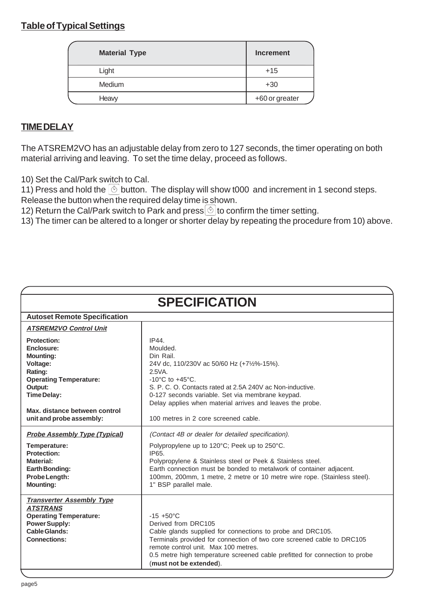#### **Table of Typical Settings**

| <b>Material Type</b> | Increment      |
|----------------------|----------------|
| Light                | $+15$          |
| Medium               | $+30$          |
| Heavy                | +60 or greater |

## **TIME DELAY**

The ATSREM2VO has an adjustable delay from zero to 127 seconds, the timer operating on both material arriving and leaving. To set the time delay, proceed as follows.

10) Set the Cal/Park switch to Cal.

11) Press and hold the  $\textcircled{\tiny{\textcircled{\tiny{5}}}}$  button. The display will show t000 and increment in 1 second steps.

Release the button when the required delay time is shown.

12) Return the Cal/Park switch to Park and press  $\Diamond$  to confirm the timer setting.

13) The timer can be altered to a longer or shorter delay by repeating the procedure from 10) above.

| <b>SPECIFICATION</b>                                                                                                                                                                                       |                                                                                                                                                                                                                                                                                                                                                        |  |  |
|------------------------------------------------------------------------------------------------------------------------------------------------------------------------------------------------------------|--------------------------------------------------------------------------------------------------------------------------------------------------------------------------------------------------------------------------------------------------------------------------------------------------------------------------------------------------------|--|--|
| <b>Autoset Remote Specification</b>                                                                                                                                                                        |                                                                                                                                                                                                                                                                                                                                                        |  |  |
| <b>ATSREM2VO Control Unit</b>                                                                                                                                                                              |                                                                                                                                                                                                                                                                                                                                                        |  |  |
| <b>Protection:</b><br>Enclosure:<br><b>Mounting:</b><br>Voltage:<br>Rating:<br><b>Operating Temperature:</b><br>Output:<br><b>Time Delay:</b><br>Max. distance between control<br>unit and probe assembly: | IP44.<br>Moulded.<br>Din Rail.<br>24V dc, 110/230V ac 50/60 Hz (+7½%-15%).<br>$2.5VA$ .<br>-10 $^{\circ}$ C to +45 $^{\circ}$ C.<br>S. P. C. O. Contacts rated at 2.5A 240V ac Non-inductive.<br>0-127 seconds variable. Set via membrane keypad.<br>Delay applies when material arrives and leaves the probe.<br>100 metres in 2 core screened cable. |  |  |
| <b>Probe Assembly Type (Typical)</b><br>Temperature:<br><b>Protection:</b><br><b>Material:</b><br>Earth Bonding:<br>Probe Length:<br><b>Mounting:</b>                                                      | (Contact 4B or dealer for detailed specification).<br>Polypropylene up to 120°C; Peek up to 250°C.<br>IP65.<br>Polypropylene & Stainless steel or Peek & Stainless steel.<br>Earth connection must be bonded to metalwork of container adjacent.<br>100mm, 200mm, 1 metre, 2 metre or 10 metre wire rope. (Stainless steel).<br>1" BSP parallel male.  |  |  |
| <b>Transverter Assembly Type</b><br><b>ATSTRANS</b><br><b>Operating Temperature:</b><br><b>Power Supply:</b><br>Cable Glands:<br><b>Connections:</b>                                                       | $-15 + 50^{\circ}$ C<br>Derived from DRC105<br>Cable glands supplied for connections to probe and DRC105.<br>Terminals provided for connection of two core screened cable to DRC105<br>remote control unit. Max 100 metres.<br>0.5 metre high temperature screened cable prefitted for connection to probe<br>(must not be extended).                  |  |  |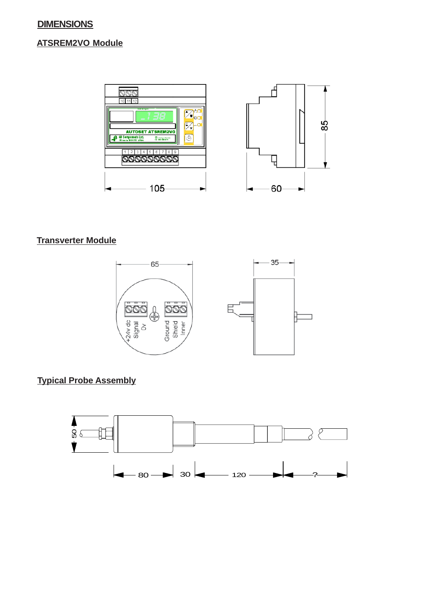#### **DIMENSIONS**

#### **ATSREM2VO Module**



#### **Transverter Module**



## **Typical Probe Assembly**